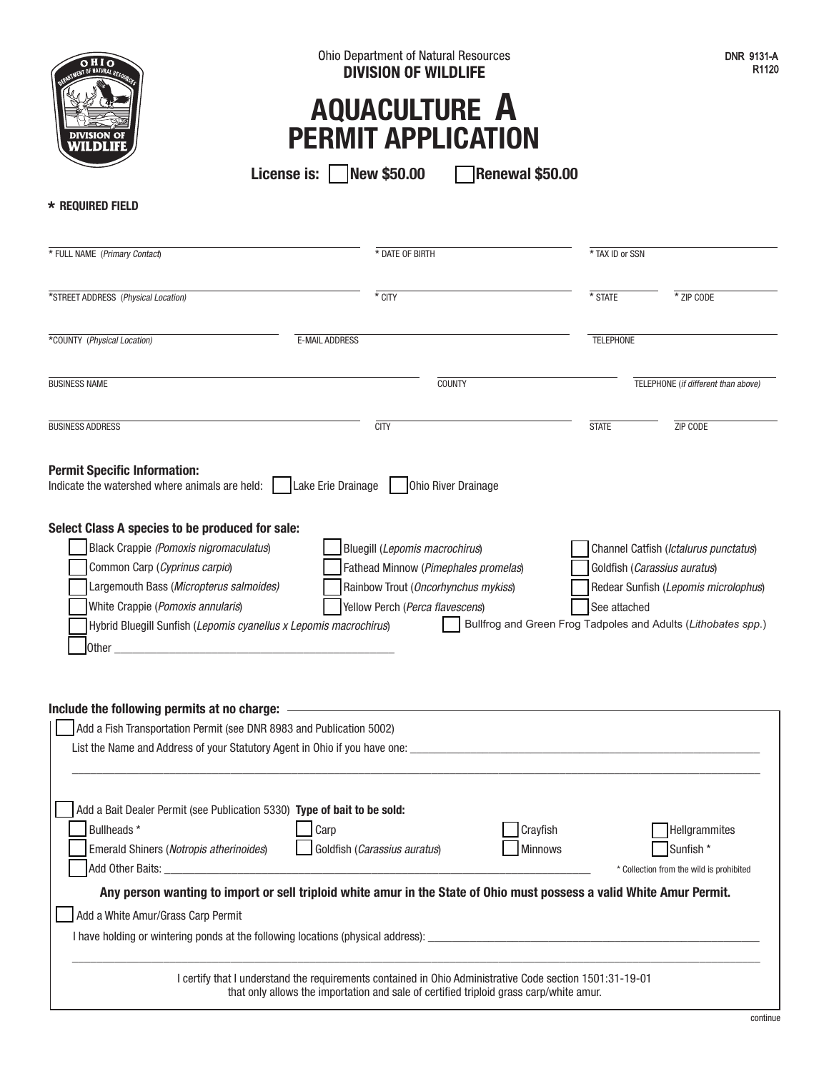| OHIO                                                                                                                                                                                                                                                                                                                                                                     | Ohio Department of Natural Resources<br><b>DIVISION OF WILDLIFE</b><br><b>AQUACULTURE A</b><br><b>PERMIT APPLICATION</b><br><b>Renewal \$50.00</b>                                            |                                                                               | <b>DNR 9131-A</b><br>R <sub>1120</sub>                                                                        |  |
|--------------------------------------------------------------------------------------------------------------------------------------------------------------------------------------------------------------------------------------------------------------------------------------------------------------------------------------------------------------------------|-----------------------------------------------------------------------------------------------------------------------------------------------------------------------------------------------|-------------------------------------------------------------------------------|---------------------------------------------------------------------------------------------------------------|--|
| * REQUIRED FIELD                                                                                                                                                                                                                                                                                                                                                         |                                                                                                                                                                                               |                                                                               |                                                                                                               |  |
| * FULL NAME (Primary Contact)                                                                                                                                                                                                                                                                                                                                            | * DATE OF BIRTH                                                                                                                                                                               | * TAX ID or SSN                                                               |                                                                                                               |  |
| *STREET ADDRESS (Physical Location)                                                                                                                                                                                                                                                                                                                                      | * CITY                                                                                                                                                                                        | * STATE                                                                       | * ZIP CODE                                                                                                    |  |
| *COUNTY (Physical Location)<br><b>E-MAIL ADDRESS</b>                                                                                                                                                                                                                                                                                                                     |                                                                                                                                                                                               | <b>TELEPHONE</b>                                                              |                                                                                                               |  |
| <b>BUSINESS NAME</b>                                                                                                                                                                                                                                                                                                                                                     | <b>COUNTY</b>                                                                                                                                                                                 |                                                                               | TELEPHONE (if different than above)                                                                           |  |
| <b>BUSINESS ADDRESS</b>                                                                                                                                                                                                                                                                                                                                                  | <b>CITY</b>                                                                                                                                                                                   | <b>STATE</b>                                                                  | ZIP CODE                                                                                                      |  |
| <b>Permit Specific Information:</b><br>Indicate the watershed where animals are held:<br>Select Class A species to be produced for sale:<br>Black Crappie (Pomoxis nigromaculatus)<br>Common Carp (Cyprinus carpio)<br>Largemouth Bass (Micropterus salmoides)<br>White Crappie (Pomoxis annularis)<br>Hybrid Bluegill Sunfish (Lepomis cyanellus x Lepomis macrochirus) | Lake Erie Drainage<br>Ohio River Drainage<br>Bluegill (Lepomis macrochirus)<br>Fathead Minnow (Pimephales promelas)<br>Rainbow Trout (Oncorhynchus mykiss)<br>Yellow Perch (Perca flavescens) | See attached<br>Bullfrog and Green Frog Tadpoles and Adults (Lithobates spp.) | Channel Catfish (Ictalurus punctatus)<br>Goldfish (Carassius auratus)<br>Redear Sunfish (Lepomis microlophus) |  |
| Add a Fish Transportation Permit (see DNR 8983 and Publication 5002)                                                                                                                                                                                                                                                                                                     |                                                                                                                                                                                               |                                                                               |                                                                                                               |  |
| Add a Bait Dealer Permit (see Publication 5330) Type of bait to be sold:                                                                                                                                                                                                                                                                                                 |                                                                                                                                                                                               |                                                                               |                                                                                                               |  |
| Bullheads*                                                                                                                                                                                                                                                                                                                                                               | Carp                                                                                                                                                                                          | Crayfish                                                                      | Hellgrammites                                                                                                 |  |

Emerald Shiners (Notropis atherinoides) Goldfish (Carassius auratus) Minnows Minnows Sunfish \*

Add a White Amur/Grass Carp Permit

I have holding or wintering ponds at the following locations (physical address):

I certify that I understand the requirements contained in Ohio Administrative Code section 1501:31-19-01 that only allows the importation and sale of certified triploid grass carp/white amur.

 $\_$  ,  $\_$  ,  $\_$  ,  $\_$  ,  $\_$  ,  $\_$  ,  $\_$  ,  $\_$  ,  $\_$  ,  $\_$  ,  $\_$  ,  $\_$  ,  $\_$  ,  $\_$  ,  $\_$  ,  $\_$  ,  $\_$  ,  $\_$  ,  $\_$  ,  $\_$  ,  $\_$  ,  $\_$  ,  $\_$  ,  $\_$  ,  $\_$  ,  $\_$  ,  $\_$  ,  $\_$  ,  $\_$  ,  $\_$  ,  $\_$  ,  $\_$  ,  $\_$  ,  $\_$  ,  $\_$  ,  $\_$  ,  $\_$  ,